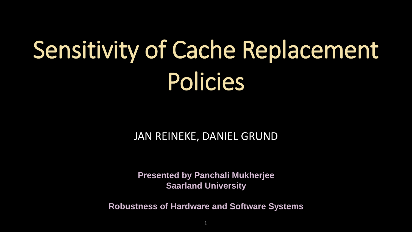# Sensitivity of Cache Replacement Policies

**Presented by Panchali Mukherjee Saarland University**

**Robustness of Hardware and Software Systems**

### JAN REINEKE, DANIEL GRUND

1





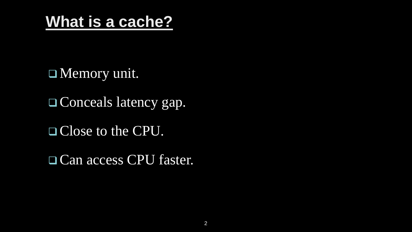## **What is a cache?**

 Memory unit. Conceals latency gap. Close to the CPU. □ Can access CPU faster.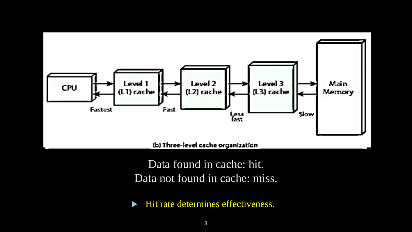

(b) Three-level cache organization

Data found in cache: hit. Data not found in cache: miss.

Hit rate determines effectiveness.

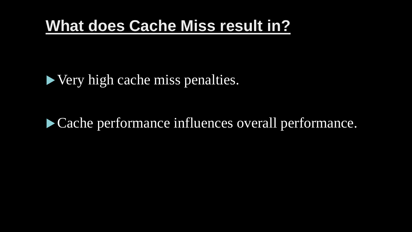## **What does Cache Miss result in?**

### ▶ Very high cache miss penalties.

## Cache performance influences overall performance.

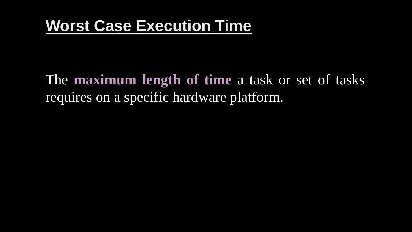## **Worst Case Execution Time**

The **maximum length of time** a task or set of tasks requires on a specific hardware platform.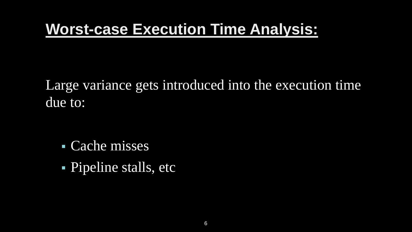Large variance gets introduced into the execution time due to:

 Cache misses Pipeline stalls, etc



## **Worst-case Execution Time Analysis:**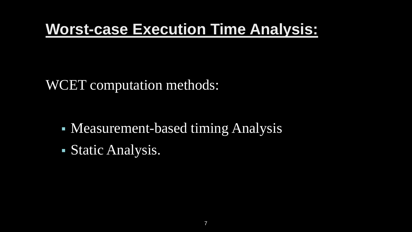### WCET computation methods:

- Measurement-based timing Analysis
- Static Analysis.



## **Worst-case Execution Time Analysis:**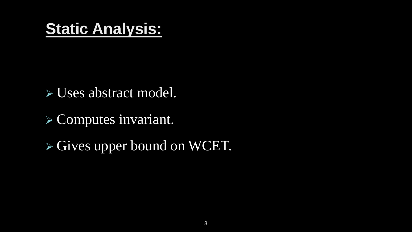## **Static Analysis:**

Uses abstract model.

- Computes invariant.
- Gives upper bound on WCET.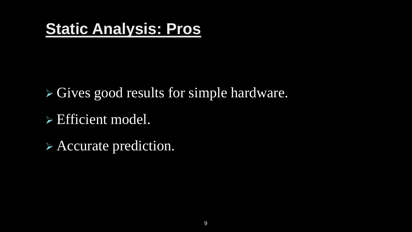## **Static Analysis: Pros**

 Gives good results for simple hardware. Efficient model.

Accurate prediction.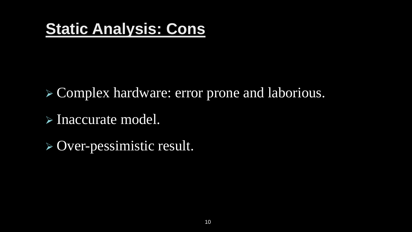## **Static Analysis: Cons**

 Complex hardware: error prone and laborious. Inaccurate model. > Over-pessimistic result.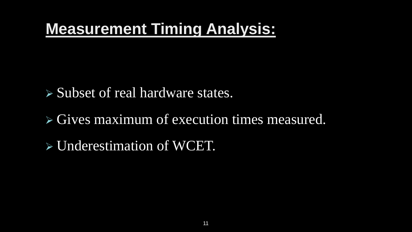## **Measurement Timing Analysis:**

 $\triangleright$  Subset of real hardware states.

- $\triangleright$  Gives maximum of execution times measured.
- Underestimation of WCET.

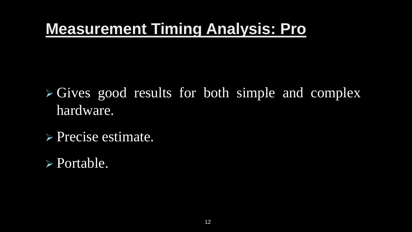## **Measurement Timing Analysis: Pro**

 $\triangleright$  Gives good results for both simple and complex hardware.

Precise estimate.

Portable.

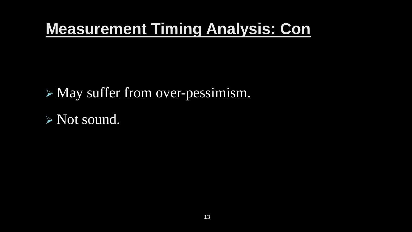## **Measurement Timing Analysis: Con**

 May suffer from over-pessimism. Not sound.

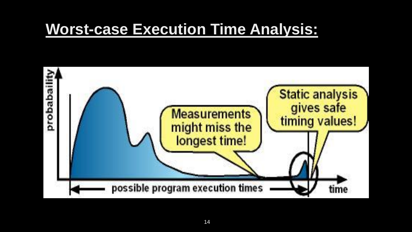

## **Worst-case Execution Time Analysis:**

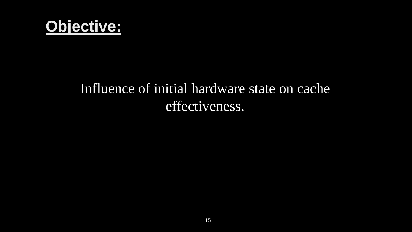

## Influence of initial hardware state on cache effectiveness.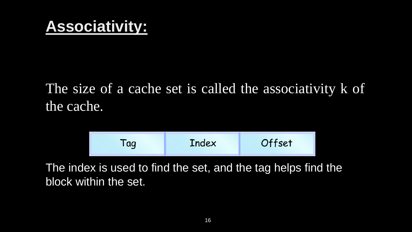## **Associativity:**

## The size of a cache set is called the associativity k of the cache.



### Offset

The index is used to find the set, and the tag helps find the block within the set.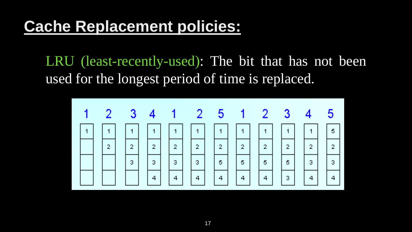LRU (least-recently-used): The bit that has not been used for the longest period of time is replaced.



| 3                       | $\overline{\mathbf{4}}$  | 5              |  |
|-------------------------|--------------------------|----------------|--|
| $\overline{\mathbf{1}}$ | $\overline{\phantom{a}}$ | 5              |  |
| $\overline{2}$          | $\overline{2}$           | $\overline{2}$ |  |
| 5                       | 3                        | 3              |  |
| 3                       | $\overline{a}$           | 4              |  |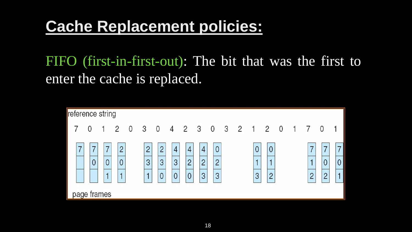FIFO (first-in-first-out): The bit that was the first to enter the cache is replaced.

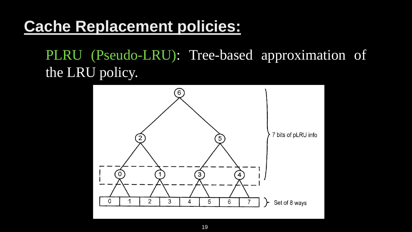PLRU (Pseudo-LRU): Tree-based approximation of the LRU policy.



7 bits of pLRU info

Set of 8 ways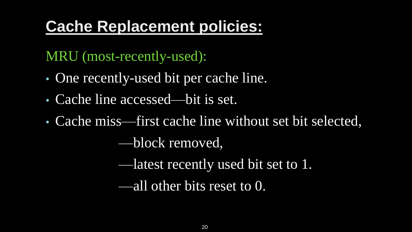MRU (most-recently-used):

- One recently-used bit per cache line.
- Cache line accessed—bit is set.
- Cache miss—first cache line without set bit selected,

—block removed,

—latest recently used bit set to 1.

—all other bits reset to 0.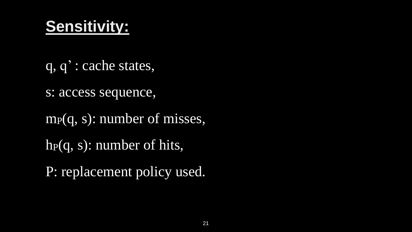## **Sensitivity:**

- q, q' : cache states,
- s: access sequence,
- m<sub>P</sub>(q, s): number of misses,
- $hp(q, s)$ : number of hits,
- P: replacement policy used.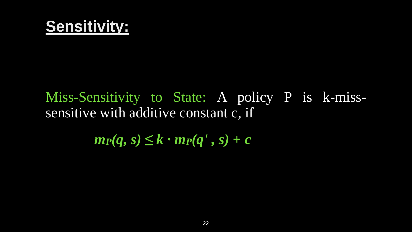## **Sensitivity:**

## Miss-Sensitivity to State: A policy P is k-misssensitive with additive constant c, if  $m_P(q, s) \leq k \cdot m_P(q', s) + c$

22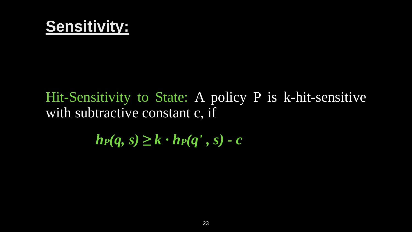

### Hit-Sensitivity to State: A policy P is k-hit-sensitive with subtractive constant c, if

 $h_P(q, s) \geq k \cdot h_P(q', s) - c$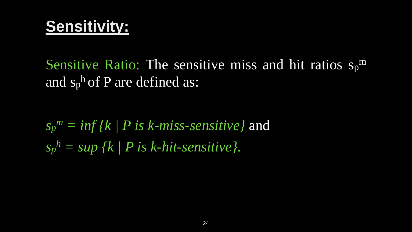## **Sensitivity:**

Sensitive Ratio: The sensitive miss and hit ratios sp<sup>m</sup> and  $s_p$ <sup>h</sup> of P are defined as:

*sp <sup>m</sup> = inf {k | P is k-miss-sensitive}* and *sp <sup>h</sup> = sup {k | P is k-hit-sensitive}.*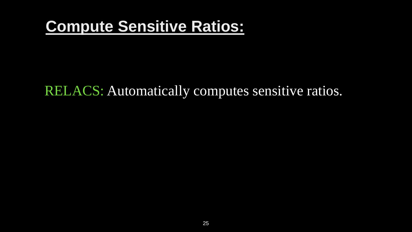## **Compute Sensitive Ratios:**

### RELACS: Automatically computes sensitive ratios.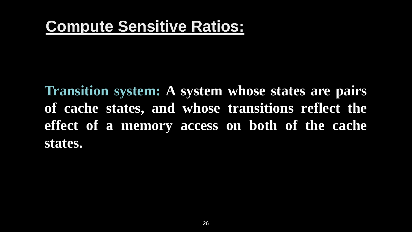## **Compute Sensitive Ratios:**

**Transition system: A system whose states are pairs of cache states, and whose transitions reflect the effect of a memory access on both of the cache states.**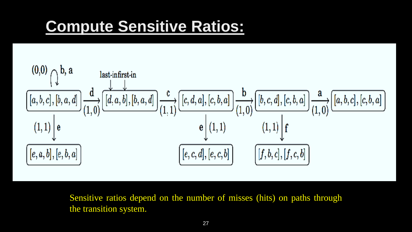## **Compute Sensitive Ratios:**



$$
\frac{d}{d}, [c, b, a] \rightarrow a \rightarrow a \rightarrow a \rightarrow a \rightarrow a \rightarrow b \rightarrow c \rightarrow c \rightarrow a
$$
\n
$$
\frac{1}{d} \left[ f \right]
$$
\n
$$
\frac{1}{d} \left[ f, c, b \right]
$$

Sensitive ratios depend on the number of misses (hits) on paths through the transition system.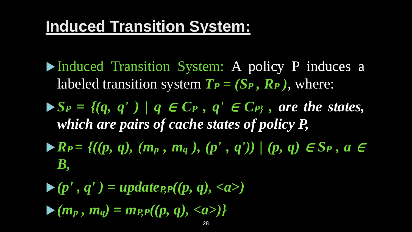## **Induced Transition System:**

- Induced Transition System: A policy P induces a labeled transition system  $T_P = (S_P, R_P)$ , where:
- $\blacktriangleright$  *S<sub>P</sub>* = {(q, q') | q  $\in$  C<sub>P</sub>, q'  $\in$  C<sub>P</sub>}, are the states, *which are pairs of cache states of policy P,*
- *R<sup>P</sup> = {((p, q), (m<sup>p</sup> , m<sup>q</sup> ), (p' , q')) | (p, q)* <sup>∈</sup> *S<sup>P</sup> , a* <sup>∈</sup> *B,*

 $\blacktriangleright$   $(p', q') = update_{PP}(p, q), \langle a \rangle$  $(m_p, m_q) = m_p(p(p, q), \langle a \rangle)$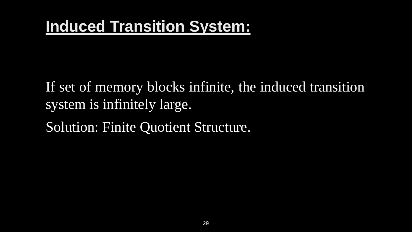## **Induced Transition System:**

If set of memory blocks infinite, the induced transition system is infinitely large. Solution: Finite Quotient Structure.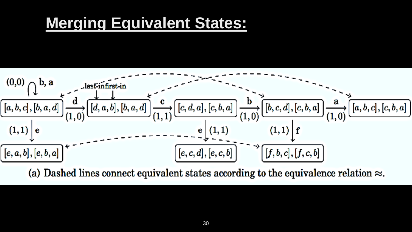## **Merging Equivalent States:**



(a) Dashed lines connect equivalent states according to the equivalence relation  $\approx$ .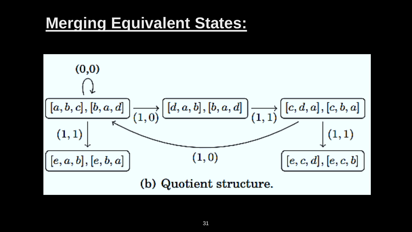## **Merging Equivalent States:**

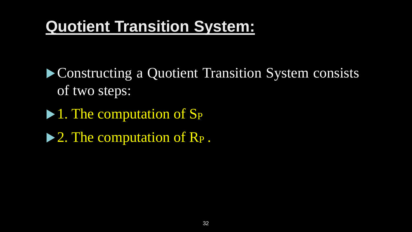**Constructing a Quotient Transition System consists** of two steps:

 $\blacktriangleright$  1. The computation of S<sub>P</sub>

▶ 2. The computation of R<sub>P</sub>.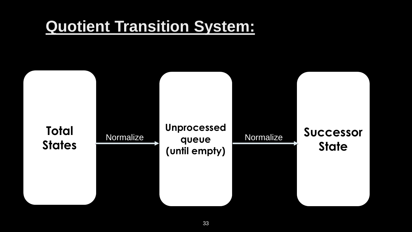

### **Successor State**

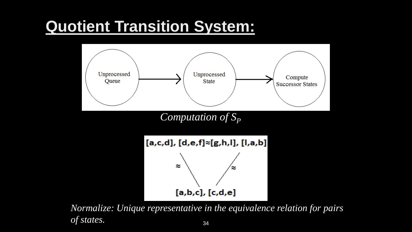

*Computation of*  $S_p$ 



34 *Normalize: Unique representative in the equivalence relation for pairs of states.*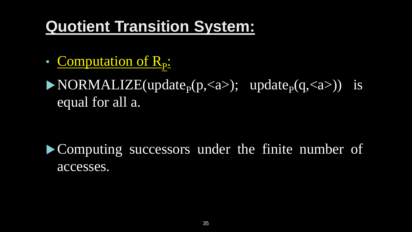- Computation of R<sub>p</sub>:
- $\blacktriangleright$  NORMALIZE(update<sub>p</sub>(p,<a>); update<sub>p</sub>(q,<a>)) is equal for all a.

Computing successors under the finite number of accesses.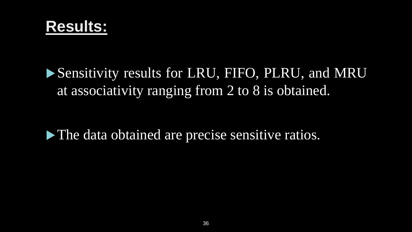**Results:**

## Sensitivity results for LRU, FIFO, PLRU, and MRU at associativity ranging from 2 to 8 is obtained.

The data obtained are precise sensitive ratios.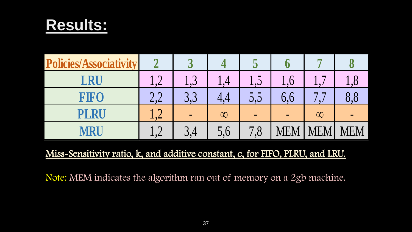## **Results:**



### Miss-Sensitivity ratio, k, and additive constant, c, for FIFO, PLRU, and LRU.

Note: MEM indicates the algorithm ran out of memory on a 2gb machine.

| <b>Policies/Associativity</b> |                              | $\overline{\mathbf{C}}$          |          | $\overline{\phantom{0}}$                 |            |            |              |
|-------------------------------|------------------------------|----------------------------------|----------|------------------------------------------|------------|------------|--------------|
| LRU                           | $\bullet$                    | $\overline{\phantom{a}}$<br>1, 0 |          | $\mathbf{1}_{\bullet}\mathbf{1}$         | .67        |            | $\mathbf{U}$ |
| FIFO                          | $\cap$ $\cap$                | 3,3                              |          | 0,0                                      | 0, 6       |            |              |
| PLRU                          | $\mathbf{1}$ of $\mathbf{1}$ | $\blacksquare$                   | $\infty$ | $\blacksquare$                           | $\sim$     | $\infty$   |              |
| MRU                           | $\bullet$                    | 3,4                              | 5,6      | $\mathbf{\mathcal{L}}$<br>$\mathcal{S},$ | <b>MEM</b> | <b>MEM</b> | <b>MEM</b>   |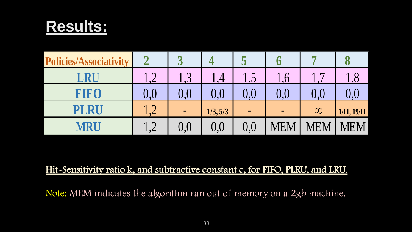## **Results:**



### Hit-Sensitivity ratio k, and subtractive constant c, for FIFO, PLRU, and LRU.

Note: MEM indicates the algorithm ran out of memory on a 2gb machine.

| <b>Policies/Associativity</b> |                   | $\overline{\phantom{0}}$ |          |         |        |          |             |
|-------------------------------|-------------------|--------------------------|----------|---------|--------|----------|-------------|
| <b>RU</b>                     |                   | $\overline{2}$<br>しょつ    |          | 1,5     | .6     |          |             |
| FIFO                          | 0.0               |                          | $0{,}0$  | $0.0\,$ | .0     |          |             |
| PLRU                          | $\sqrt{ }$        | $\blacksquare$           | 1/3, 5/3 |         | $\sim$ | $\infty$ | 1/11, 19/11 |
| MRU                           | $\bigcap$<br>⊥ ,∠ | $0{,}0$                  | 0,0      | 0,0     | VIEM   | `H`N     | MEM         |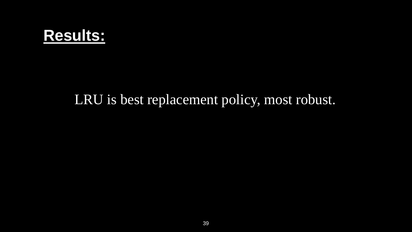

### LRU is best replacement policy, most robust.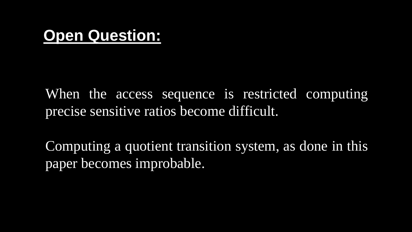## **Open Question:**

When the access sequence is restricted computing precise sensitive ratios become difficult.

Computing a quotient transition system, as done in this paper becomes improbable.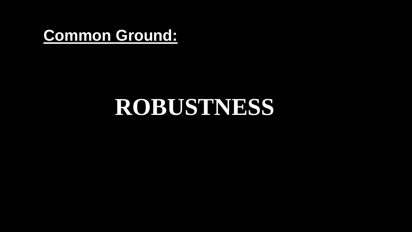## **Common Ground:**

# **ROBUSTNESS**